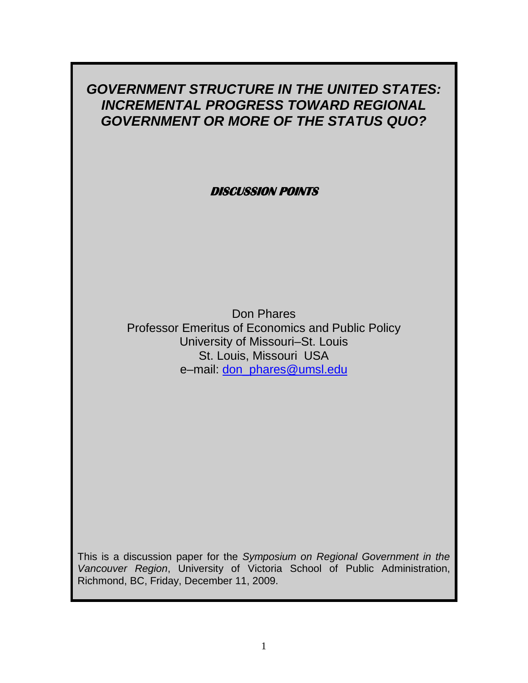# *GOVERNMENT STRUCTURE IN THE UNITED STATES: INCREMENTAL PROGRESS TOWARD REGIONAL GOVERNMENT OR MORE OF THE STATUS QUO?*

**DISCUSSION POINTS** 

Don Phares Professor Emeritus of Economics and Public Policy University of Missouri–St. Louis St. Louis, Missouri USA e–mail: [don\\_phares@umsl.edu](mailto:don_phares@umsl.edu)

This is a discussion paper for the *Symposium on Regional Government in the Vancouver Region*, University of Victoria School of Public Administration, Richmond, BC, Friday, December 11, 2009.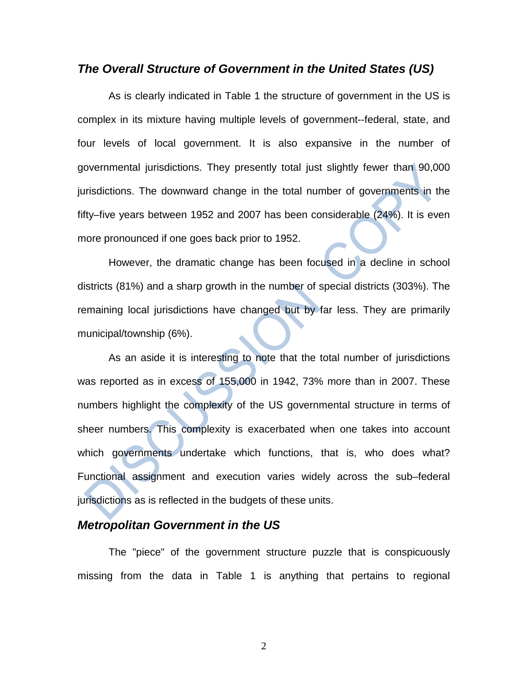## *The Overall Structure of Government in the United States (US)*

As is clearly indicated in Table 1 the structure of government in the US is complex in its mixture having multiple levels of government--federal, state, and four levels of local government. It is also expansive in the number of governmental jurisdictions. They presently total just slightly fewer than 90,000 jurisdictions. The downward change in the total number of governments in the fifty–five years between 1952 and 2007 has been considerable (24%). It is even more pronounced if one goes back prior to 1952.

However, the dramatic change has been focused in a decline in school districts (81%) and a sharp growth in the number of special districts (303%). The remaining local jurisdictions have changed but by far less. They are primarily municipal/township (6%).

As an aside it is interesting to note that the total number of jurisdictions was reported as in excess of 155,000 in 1942, 73% more than in 2007. These numbers highlight the complexity of the US governmental structure in terms of sheer numbers. This complexity is exacerbated when one takes into account which governments undertake which functions, that is, who does what? Functional assignment and execution varies widely across the sub–federal jurisdictions as is reflected in the budgets of these units.

### *Metropolitan Government in the US*

The "piece" of the government structure puzzle that is conspicuously missing from the data in Table 1 is anything that pertains to regional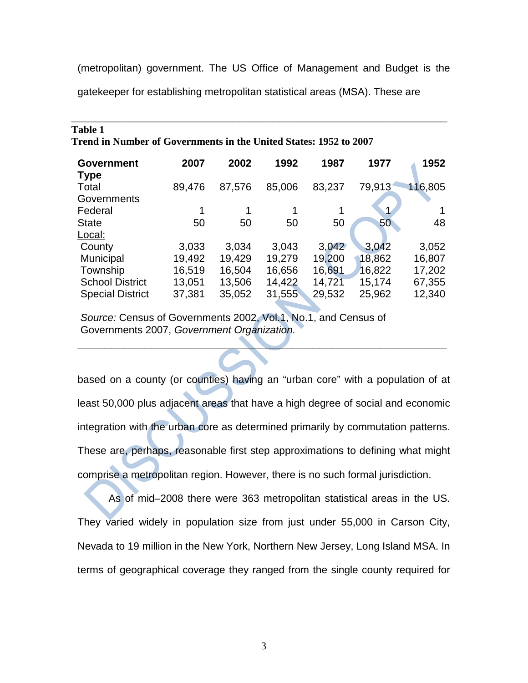(metropolitan) government. The US Office of Management and Budget is the

**\_\_\_\_\_\_\_\_\_\_\_\_\_\_\_\_\_\_\_\_\_\_\_\_\_\_\_\_\_\_\_\_\_\_\_\_\_\_\_\_\_\_\_\_\_\_\_\_\_\_\_\_\_\_\_\_**

gatekeeper for establishing metropolitan statistical areas (MSA). These are

**Table 1**

| 1 apie 1                                                          |        |        |        |        |        |         |  |
|-------------------------------------------------------------------|--------|--------|--------|--------|--------|---------|--|
| Trend in Number of Governments in the United States: 1952 to 2007 |        |        |        |        |        |         |  |
| <b>Government</b>                                                 | 2007   | 2002   | 1992   | 1987   | 1977   | 1952    |  |
| <b>Type</b>                                                       |        |        |        |        |        |         |  |
| Total                                                             | 89,476 | 87,576 | 85,006 | 83,237 | 79,913 | 116,805 |  |
| Governments                                                       |        |        |        |        |        |         |  |
| Federal                                                           |        |        |        |        |        |         |  |
| <b>State</b>                                                      | 50     | 50     | 50     | 50     | 50     | 48      |  |
| Local:                                                            |        |        |        |        |        |         |  |
| County                                                            | 3,033  | 3,034  | 3,043  | 3,042  | 3.042  | 3,052   |  |
| Municipal                                                         | 19,492 | 19,429 | 19,279 | 19,200 | 18,862 | 16,807  |  |
| Township                                                          | 16,519 | 16,504 | 16,656 | 16,691 | 16,822 | 17,202  |  |
| <b>School District</b>                                            | 13,051 | 13,506 | 14,422 | 14,721 | 15,174 | 67,355  |  |
| <b>Special District</b>                                           | 37,381 | 35,052 | 31,555 | 29,532 | 25,962 | 12,340  |  |
|                                                                   |        |        |        |        |        |         |  |

*Source:* Census of Governments 2002, Vol.1, No.1, and Census of Governments 2007, *Government Organization.*

based on a county (or counties) having an "urban core" with a population of at least 50,000 plus adjacent areas that have a high degree of social and economic integration with the urban core as determined primarily by commutation patterns. These are, perhaps, reasonable first step approximations to defining what might comprise a metropolitan region. However, there is no such formal jurisdiction.

**\_\_\_\_\_\_\_\_\_\_\_\_\_\_\_\_\_\_\_\_\_\_\_\_\_\_\_\_\_\_\_\_\_\_\_\_\_\_\_\_\_\_\_\_\_\_\_\_\_\_\_\_\_\_\_**

As of mid–2008 there were 363 metropolitan statistical areas in the US. They varied widely in population size from just under 55,000 in Carson City, Nevada to 19 million in the New York, Northern New Jersey, Long Island MSA. In terms of geographical coverage they ranged from the single county required for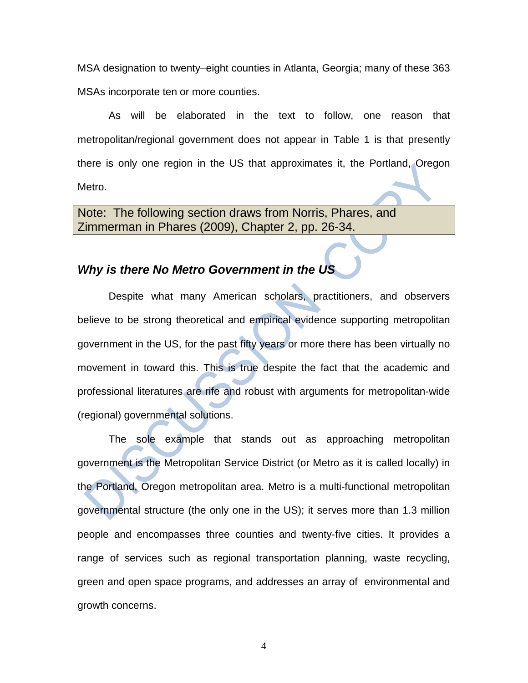MSA designation to twenty–eight counties in Atlanta, Georgia; many of these 363 MSAs incorporate ten or more counties.

As will be elaborated in the text to follow, one reason that metropolitan/regional government does not appear in Table 1 is that presently there is only one region in the US that approximates it, the Portland, Oregon Metro.

Note: The following section draws from Norris, Phares, and Zimmerman in Phares (2009), Chapter 2, pp. 26-34.

## *Why is there No Metro Government in the US*

Despite what many American scholars, practitioners, and observers believe to be strong theoretical and empirical evidence supporting metropolitan government in the US, for the past fifty years or more there has been virtually no movement in toward this. This is true despite the fact that the academic and professional literatures are rife and robust with arguments for metropolitan-wide (regional) governmental solutions.

The sole example that stands out as approaching metropolitan government is the Metropolitan Service District (or Metro as it is called locally) in the Portland, Oregon metropolitan area. Metro is a multi-functional metropolitan governmental structure (the only one in the US); it serves more than 1.3 million people and encompasses three counties and twenty-five cities. It provides a range of services such as regional transportation planning, waste recycling, green and open space programs, and addresses an array of environmental and growth concerns.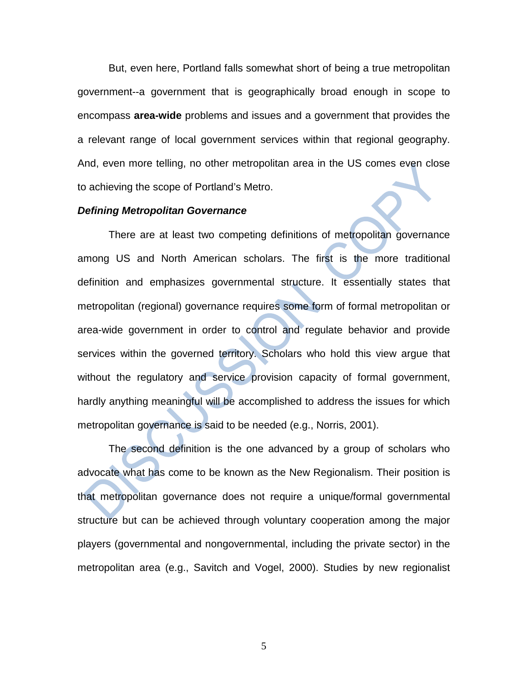But, even here, Portland falls somewhat short of being a true metropolitan government--a government that is geographically broad enough in scope to encompass **area-wide** problems and issues and a government that provides the a relevant range of local government services within that regional geography. And, even more telling, no other metropolitan area in the US comes even close to achieving the scope of Portland's Metro.

### *Defining Metropolitan Governance*

There are at least two competing definitions of metropolitan governance among US and North American scholars. The first is the more traditional definition and emphasizes governmental structure. It essentially states that metropolitan (regional) governance requires some form of formal metropolitan or area-wide government in order to control and regulate behavior and provide services within the governed territory. Scholars who hold this view argue that without the regulatory and service provision capacity of formal government, hardly anything meaningful will be accomplished to address the issues for which metropolitan governance is said to be needed (e.g., Norris, 2001).

The second definition is the one advanced by a group of scholars who advocate what has come to be known as the New Regionalism. Their position is that metropolitan governance does not require a unique/formal governmental structure but can be achieved through voluntary cooperation among the major players (governmental and nongovernmental, including the private sector) in the metropolitan area (e.g., Savitch and Vogel, 2000). Studies by new regionalist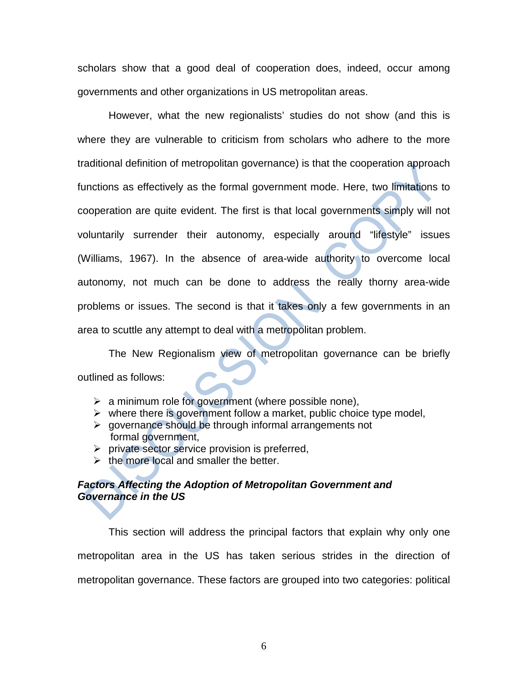scholars show that a good deal of cooperation does, indeed, occur among governments and other organizations in US metropolitan areas.

However, what the new regionalists' studies do not show (and this is where they are vulnerable to criticism from scholars who adhere to the more traditional definition of metropolitan governance) is that the cooperation approach functions as effectively as the formal government mode. Here, two limitations to cooperation are quite evident. The first is that local governments simply will not voluntarily surrender their autonomy, especially around "lifestyle" issues (Williams, 1967). In the absence of area-wide authority to overcome local autonomy, not much can be done to address the really thorny area-wide problems or issues. The second is that it takes only a few governments in an area to scuttle any attempt to deal with a metropolitan problem.

The New Regionalism view of metropolitan governance can be briefly outlined as follows:

- $\triangleright$  a minimum role for government (where possible none),
- $\triangleright$  where there is government follow a market, public choice type model,
- $\triangleright$  governance should be through informal arrangements not formal government,
- $\triangleright$  private sector service provision is preferred,
- $\triangleright$  the more local and smaller the better.

## *Factors Affecting the Adoption of Metropolitan Government and Governance in the US*

This section will address the principal factors that explain why only one metropolitan area in the US has taken serious strides in the direction of metropolitan governance. These factors are grouped into two categories: political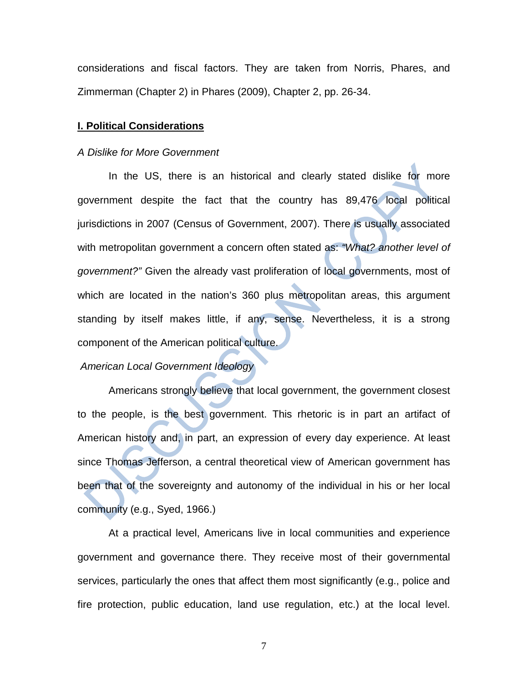considerations and fiscal factors. They are taken from Norris, Phares, and Zimmerman (Chapter 2) in Phares (2009), Chapter 2, pp. 26-34.

#### **I. Political Considerations**

### *A Dislike for More Government*

In the US, there is an historical and clearly stated dislike for more government despite the fact that the country has 89,476 local political jurisdictions in 2007 (Census of Government, 2007). There is usually associated with metropolitan government a concern often stated as: *"What? another level of government?"* Given the already vast proliferation of local governments, most of which are located in the nation's 360 plus metropolitan areas, this argument standing by itself makes little, if any, sense. Nevertheless, it is a strong component of the American political culture.

### *American Local Government Ideology*

Americans strongly believe that local government, the government closest to the people, is the best government. This rhetoric is in part an artifact of American history and, in part, an expression of every day experience. At least since Thomas Jefferson, a central theoretical view of American government has been that of the sovereignty and autonomy of the individual in his or her local community (e.g., Syed, 1966.)

At a practical level, Americans live in local communities and experience government and governance there. They receive most of their governmental services, particularly the ones that affect them most significantly (e.g., police and fire protection, public education, land use regulation, etc.) at the local level.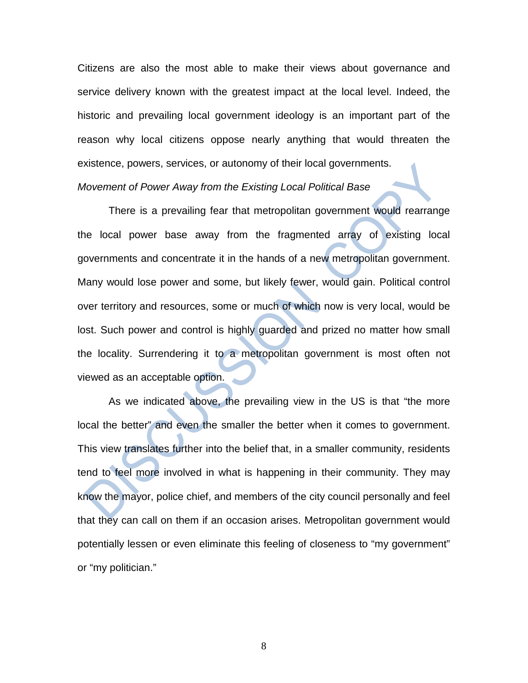Citizens are also the most able to make their views about governance and service delivery known with the greatest impact at the local level. Indeed, the historic and prevailing local government ideology is an important part of the reason why local citizens oppose nearly anything that would threaten the existence, powers, services, or autonomy of their local governments.

*Movement of Power Away from the Existing Local Political Base*

There is a prevailing fear that metropolitan government would rearrange the local power base away from the fragmented array of existing local governments and concentrate it in the hands of a new metropolitan government. Many would lose power and some, but likely fewer, would gain. Political control over territory and resources, some or much of which now is very local, would be lost. Such power and control is highly guarded and prized no matter how small the locality. Surrendering it to a metropolitan government is most often not viewed as an acceptable option.

As we indicated above, the prevailing view in the US is that "the more local the better" and even the smaller the better when it comes to government. This view translates further into the belief that, in a smaller community, residents tend to feel more involved in what is happening in their community. They may know the mayor, police chief, and members of the city council personally and feel that they can call on them if an occasion arises. Metropolitan government would potentially lessen or even eliminate this feeling of closeness to "my government" or "my politician."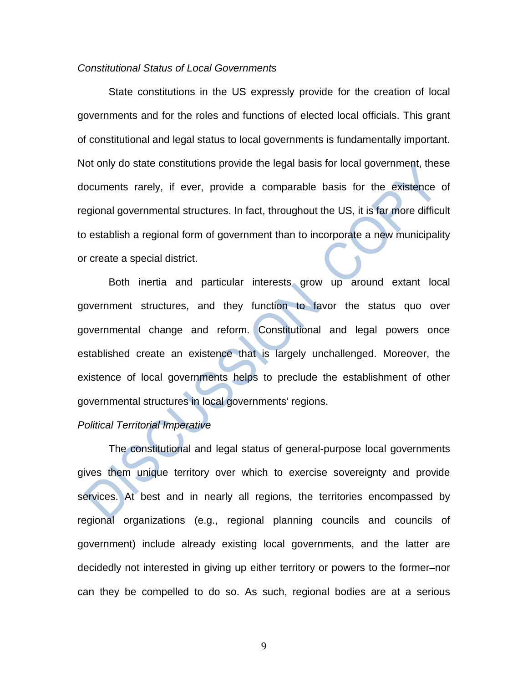### *Constitutional Status of Local Governments*

State constitutions in the US expressly provide for the creation of local governments and for the roles and functions of elected local officials. This grant of constitutional and legal status to local governments is fundamentally important. Not only do state constitutions provide the legal basis for local government, these documents rarely, if ever, provide a comparable basis for the existence of regional governmental structures. In fact, throughout the US, it is far more difficult to establish a regional form of government than to incorporate a new municipality or create a special district.

Both inertia and particular interests grow up around extant local government structures, and they function to favor the status quo over governmental change and reform. Constitutional and legal powers once established create an existence that is largely unchallenged. Moreover, the existence of local governments helps to preclude the establishment of other governmental structures in local governments' regions.

### *Political Territorial Imperative*

The constitutional and legal status of general-purpose local governments gives them unique territory over which to exercise sovereignty and provide services. At best and in nearly all regions, the territories encompassed by regional organizations (e.g., regional planning councils and councils of government) include already existing local governments, and the latter are decidedly not interested in giving up either territory or powers to the former–nor can they be compelled to do so. As such, regional bodies are at a serious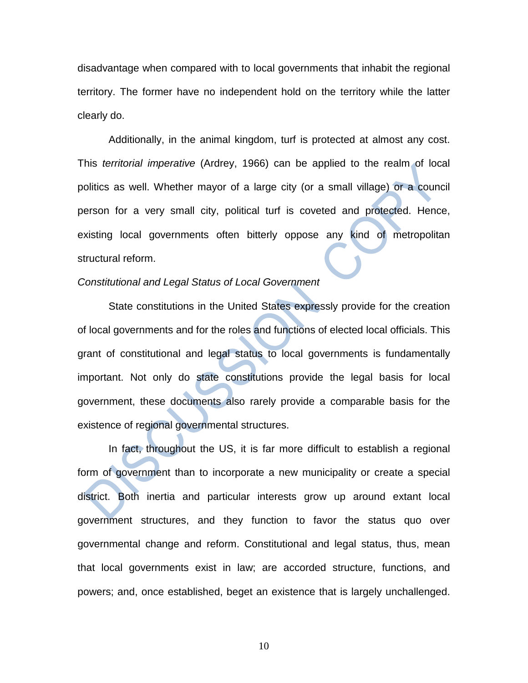disadvantage when compared with to local governments that inhabit the regional territory. The former have no independent hold on the territory while the latter clearly do.

Additionally, in the animal kingdom, turf is protected at almost any cost. This *territorial imperative* (Ardrey, 1966) can be applied to the realm of local politics as well. Whether mayor of a large city (or a small village) or a council person for a very small city, political turf is coveted and protected. Hence, existing local governments often bitterly oppose any kind of metropolitan structural reform.

### *Constitutional and Legal Status of Local Government*

State constitutions in the United States expressly provide for the creation of local governments and for the roles and functions of elected local officials. This grant of constitutional and legal status to local governments is fundamentally important. Not only do state constitutions provide the legal basis for local government, these documents also rarely provide a comparable basis for the existence of regional governmental structures.

In fact, throughout the US, it is far more difficult to establish a regional form of government than to incorporate a new municipality or create a special district. Both inertia and particular interests grow up around extant local government structures, and they function to favor the status quo over governmental change and reform. Constitutional and legal status, thus, mean that local governments exist in law; are accorded structure, functions, and powers; and, once established, beget an existence that is largely unchallenged.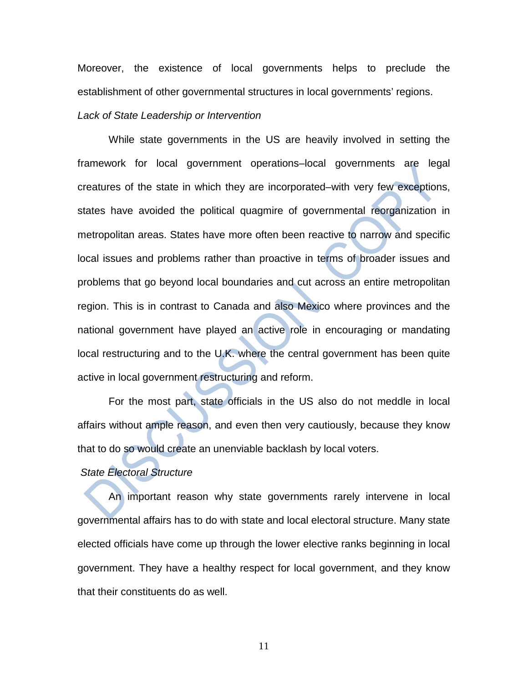Moreover, the existence of local governments helps to preclude the establishment of other governmental structures in local governments' regions.

### *Lack of State Leadership or Intervention*

While state governments in the US are heavily involved in setting the framework for local government operations–local governments are legal creatures of the state in which they are incorporated–with very few exceptions, states have avoided the political quagmire of governmental reorganization in metropolitan areas. States have more often been reactive to narrow and specific local issues and problems rather than proactive in terms of broader issues and problems that go beyond local boundaries and cut across an entire metropolitan region. This is in contrast to Canada and also Mexico where provinces and the national government have played an active role in encouraging or mandating local restructuring and to the U.K. where the central government has been quite active in local government restructuring and reform.

For the most part, state officials in the US also do not meddle in local affairs without ample reason, and even then very cautiously, because they know that to do so would create an unenviable backlash by local voters.

## *State Electoral Structure*

An important reason why state governments rarely intervene in local governmental affairs has to do with state and local electoral structure. Many state elected officials have come up through the lower elective ranks beginning in local government. They have a healthy respect for local government, and they know that their constituents do as well.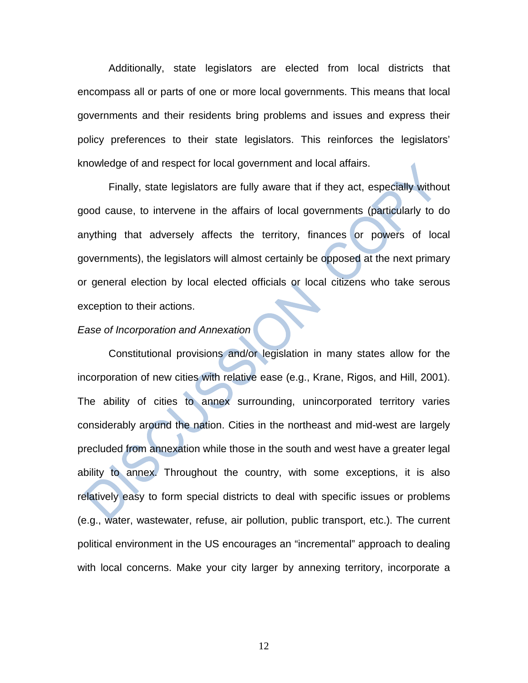Additionally, state legislators are elected from local districts that encompass all or parts of one or more local governments. This means that local governments and their residents bring problems and issues and express their policy preferences to their state legislators. This reinforces the legislators' knowledge of and respect for local government and local affairs.

Finally, state legislators are fully aware that if they act, especially without good cause, to intervene in the affairs of local governments (particularly to do anything that adversely affects the territory, finances or powers of local governments), the legislators will almost certainly be opposed at the next primary or general election by local elected officials or local citizens who take serous exception to their actions.

### *Ease of Incorporation and Annexation*

Constitutional provisions and/or legislation in many states allow for the incorporation of new cities with relative ease (e.g., Krane, Rigos, and Hill, 2001). The ability of cities to annex surrounding, unincorporated territory varies considerably around the nation. Cities in the northeast and mid-west are largely precluded from annexation while those in the south and west have a greater legal ability to annex. Throughout the country, with some exceptions, it is also relatively easy to form special districts to deal with specific issues or problems (e.g., water, wastewater, refuse, air pollution, public transport, etc.). The current political environment in the US encourages an "incremental" approach to dealing with local concerns. Make your city larger by annexing territory, incorporate a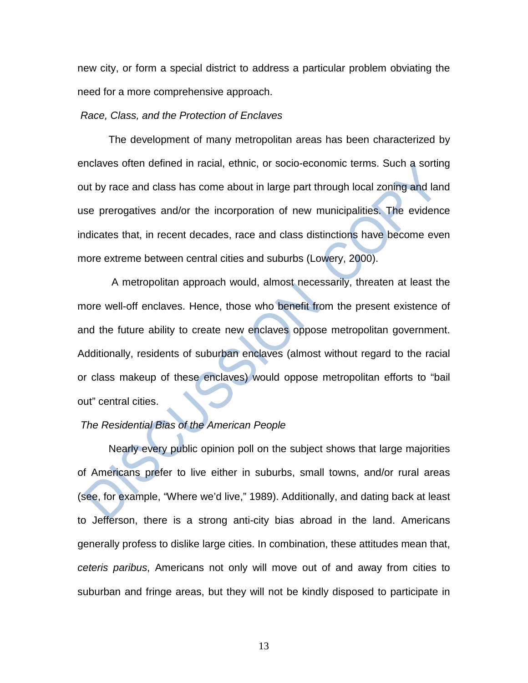new city, or form a special district to address a particular problem obviating the need for a more comprehensive approach.

#### *Race, Class, and the Protection of Enclaves*

The development of many metropolitan areas has been characterized by enclaves often defined in racial, ethnic, or socio-economic terms. Such a sorting out by race and class has come about in large part through local zoning and land use prerogatives and/or the incorporation of new municipalities. The evidence indicates that, in recent decades, race and class distinctions have become even more extreme between central cities and suburbs (Lowery, 2000).

A metropolitan approach would, almost necessarily, threaten at least the more well-off enclaves. Hence, those who benefit from the present existence of and the future ability to create new enclaves oppose metropolitan government. Additionally, residents of suburban enclaves (almost without regard to the racial or class makeup of these enclaves) would oppose metropolitan efforts to "bail out" central cities.

### *The Residential Bias of the American People*

Nearly every public opinion poll on the subject shows that large majorities of Americans prefer to live either in suburbs, small towns, and/or rural areas (see, for example, "Where we'd live," 1989). Additionally, and dating back at least to Jefferson, there is a strong anti-city bias abroad in the land. Americans generally profess to dislike large cities. In combination, these attitudes mean that, *ceteris paribus*, Americans not only will move out of and away from cities to suburban and fringe areas, but they will not be kindly disposed to participate in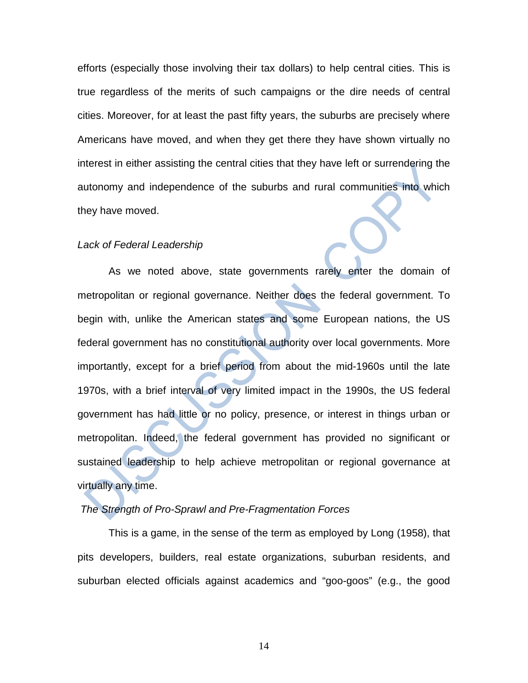efforts (especially those involving their tax dollars) to help central cities. This is true regardless of the merits of such campaigns or the dire needs of central cities. Moreover, for at least the past fifty years, the suburbs are precisely where Americans have moved, and when they get there they have shown virtually no interest in either assisting the central cities that they have left or surrendering the autonomy and independence of the suburbs and rural communities into which they have moved.

#### *Lack of Federal Leadership*

As we noted above, state governments rarely enter the domain of metropolitan or regional governance. Neither does the federal government. To begin with, unlike the American states and some European nations, the US federal government has no constitutional authority over local governments. More importantly, except for a brief period from about the mid-1960s until the late 1970s, with a brief interval of very limited impact in the 1990s, the US federal government has had little or no policy, presence, or interest in things urban or metropolitan. Indeed, the federal government has provided no significant or sustained leadership to help achieve metropolitan or regional governance at virtually any time.

## *The Strength of Pro-Sprawl and Pre-Fragmentation Forces*

This is a game, in the sense of the term as employed by Long (1958), that pits developers, builders, real estate organizations, suburban residents, and suburban elected officials against academics and "goo-goos" (e.g., the good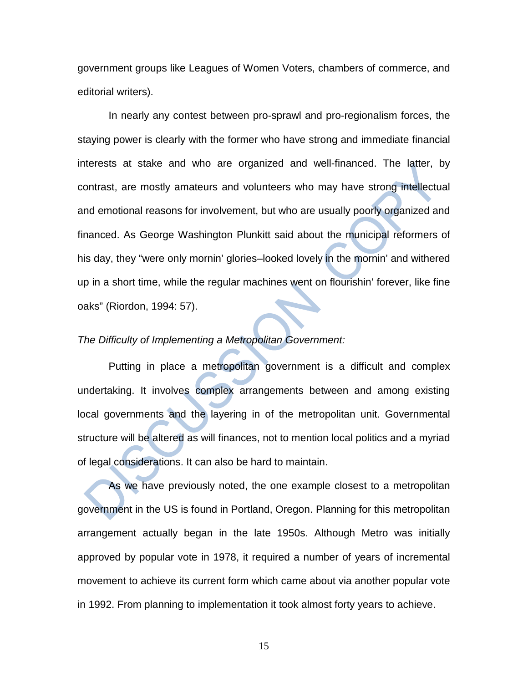government groups like Leagues of Women Voters, chambers of commerce, and editorial writers).

In nearly any contest between pro-sprawl and pro-regionalism forces, the staying power is clearly with the former who have strong and immediate financial interests at stake and who are organized and well-financed. The latter, by contrast, are mostly amateurs and volunteers who may have strong intellectual and emotional reasons for involvement, but who are usually poorly organized and financed. As George Washington Plunkitt said about the municipal reformers of his day, they "were only mornin' glories–looked lovely in the mornin' and withered up in a short time, while the regular machines went on flourishin' forever, like fine oaks" (Riordon, 1994: 57).

### *The Difficulty of Implementing a Metropolitan Government:*

Putting in place a metropolitan government is a difficult and complex undertaking. It involves complex arrangements between and among existing local governments and the layering in of the metropolitan unit. Governmental structure will be altered as will finances, not to mention local politics and a myriad of legal considerations. It can also be hard to maintain.

As we have previously noted, the one example closest to a metropolitan government in the US is found in Portland, Oregon. Planning for this metropolitan arrangement actually began in the late 1950s. Although Metro was initially approved by popular vote in 1978, it required a number of years of incremental movement to achieve its current form which came about via another popular vote in 1992. From planning to implementation it took almost forty years to achieve.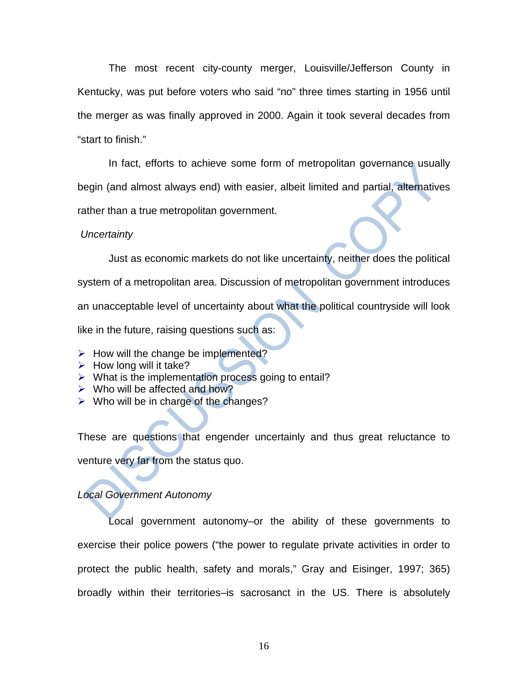The most recent city-county merger, Louisville/Jefferson County in Kentucky, was put before voters who said "no" three times starting in 1956 until the merger as was finally approved in 2000. Again it took several decades from "start to finish."

In fact, efforts to achieve some form of metropolitan governance usually begin (and almost always end) with easier, albeit limited and partial, alternatives rather than a true metropolitan government.

### *Uncertainty*

Just as economic markets do not like uncertainty, neither does the political system of a metropolitan area. Discussion of metropolitan government introduces an unacceptable level of uncertainty about what the political countryside will look like in the future, raising questions such as:

- $\triangleright$  How will the change be implemented?
- $\triangleright$  How long will it take?
- $\triangleright$  What is the implementation process going to entail?
- $\triangleright$  Who will be affected and how?
- $\triangleright$  Who will be in charge of the changes?

These are questions that engender uncertainly and thus great reluctance to venture very far from the status quo.

## *Local Government Autonomy*

Local government autonomy–or the ability of these governments to exercise their police powers ("the power to regulate private activities in order to protect the public health, safety and morals," Gray and Eisinger, 1997; 365) broadly within their territories–is sacrosanct in the US. There is absolutely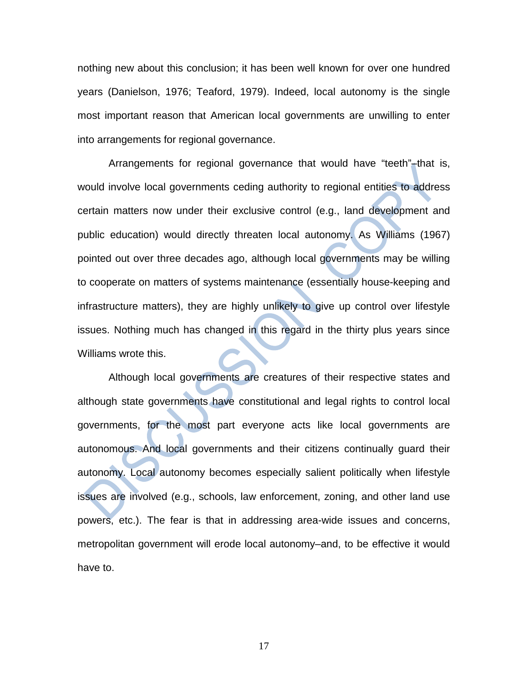nothing new about this conclusion; it has been well known for over one hundred years (Danielson, 1976; Teaford, 1979). Indeed, local autonomy is the single most important reason that American local governments are unwilling to enter into arrangements for regional governance.

Arrangements for regional governance that would have "teeth"–that is, would involve local governments ceding authority to regional entities to address certain matters now under their exclusive control (e.g., land development and public education) would directly threaten local autonomy. As Williams (1967) pointed out over three decades ago, although local governments may be willing to cooperate on matters of systems maintenance (essentially house-keeping and infrastructure matters), they are highly unlikely to give up control over lifestyle issues. Nothing much has changed in this regard in the thirty plus years since Williams wrote this.

Although local governments are creatures of their respective states and although state governments have constitutional and legal rights to control local governments, for the most part everyone acts like local governments are autonomous. And local governments and their citizens continually guard their autonomy. Local autonomy becomes especially salient politically when lifestyle issues are involved (e.g., schools, law enforcement, zoning, and other land use powers, etc.). The fear is that in addressing area-wide issues and concerns, metropolitan government will erode local autonomy–and, to be effective it would have to.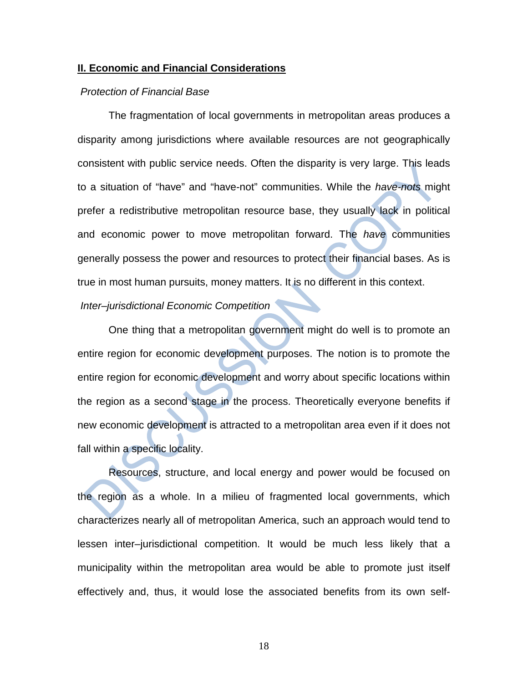#### **II. Economic and Financial Considerations**

#### *Protection of Financial Base*

The fragmentation of local governments in metropolitan areas produces a disparity among jurisdictions where available resources are not geographically consistent with public service needs. Often the disparity is very large. This leads to a situation of "have" and "have-not" communities. While the *have-nots* might prefer a redistributive metropolitan resource base, they usually lack in political and economic power to move metropolitan forward. The *have* communities generally possess the power and resources to protect their financial bases. As is true in most human pursuits, money matters. It is no different in this context.

## *Inter–jurisdictional Economic Competition*

One thing that a metropolitan government might do well is to promote an entire region for economic development purposes. The notion is to promote the entire region for economic development and worry about specific locations within the region as a second stage in the process. Theoretically everyone benefits if new economic development is attracted to a metropolitan area even if it does not fall within a specific locality.

Resources, structure, and local energy and power would be focused on the region as a whole. In a milieu of fragmented local governments, which characterizes nearly all of metropolitan America, such an approach would tend to lessen inter–jurisdictional competition. It would be much less likely that a municipality within the metropolitan area would be able to promote just itself effectively and, thus, it would lose the associated benefits from its own self-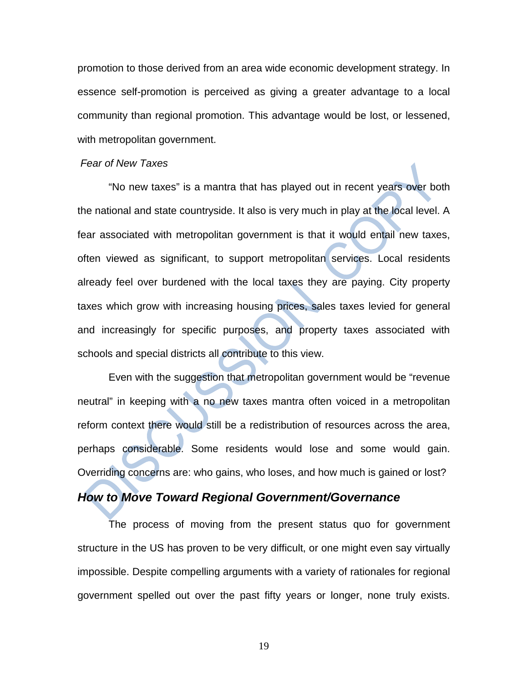promotion to those derived from an area wide economic development strategy. In essence self-promotion is perceived as giving a greater advantage to a local community than regional promotion. This advantage would be lost, or lessened, with metropolitan government.

### *Fear of New Taxes*

"No new taxes" is a mantra that has played out in recent years over both the national and state countryside. It also is very much in play at the local level. A fear associated with metropolitan government is that it would entail new taxes, often viewed as significant, to support metropolitan services. Local residents already feel over burdened with the local taxes they are paying. City property taxes which grow with increasing housing prices, sales taxes levied for general and increasingly for specific purposes, and property taxes associated with schools and special districts all contribute to this view.

Even with the suggestion that metropolitan government would be "revenue neutral" in keeping with a no new taxes mantra often voiced in a metropolitan reform context there would still be a redistribution of resources across the area, perhaps considerable. Some residents would lose and some would gain. Overriding concerns are: who gains, who loses, and how much is gained or lost?

## *How to Move Toward Regional Government/Governance*

The process of moving from the present status quo for government structure in the US has proven to be very difficult, or one might even say virtually impossible. Despite compelling arguments with a variety of rationales for regional government spelled out over the past fifty years or longer, none truly exists.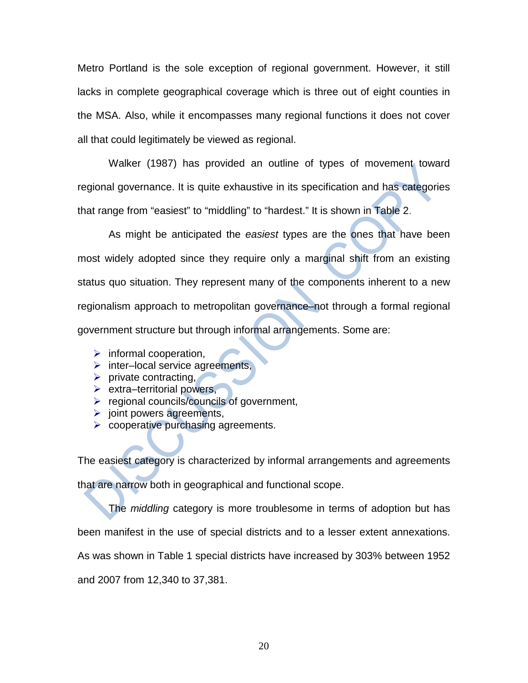Metro Portland is the sole exception of regional government. However, it still lacks in complete geographical coverage which is three out of eight counties in the MSA. Also, while it encompasses many regional functions it does not cover all that could legitimately be viewed as regional.

Walker (1987) has provided an outline of types of movement toward regional governance. It is quite exhaustive in its specification and has categories that range from "easiest" to "middling" to "hardest." It is shown in Table 2.

As might be anticipated the *easiest* types are the ones that have been most widely adopted since they require only a marginal shift from an existing status quo situation. They represent many of the components inherent to a new regionalism approach to metropolitan governance–not through a formal regional government structure but through informal arrangements. Some are:

- $\triangleright$  informal cooperation,
- $\triangleright$  inter–local service agreements,
- $\triangleright$  private contracting,
- $\triangleright$  extra–territorial powers,
- $\triangleright$  regional councils/councils of government,
- $\triangleright$  joint powers agreements,
- $\triangleright$  cooperative purchasing agreements.

The easiest category is characterized by informal arrangements and agreements

that are narrow both in geographical and functional scope.

The *middling* category is more troublesome in terms of adoption but has been manifest in the use of special districts and to a lesser extent annexations. As was shown in Table 1 special districts have increased by 303% between 1952 and 2007 from 12,340 to 37,381.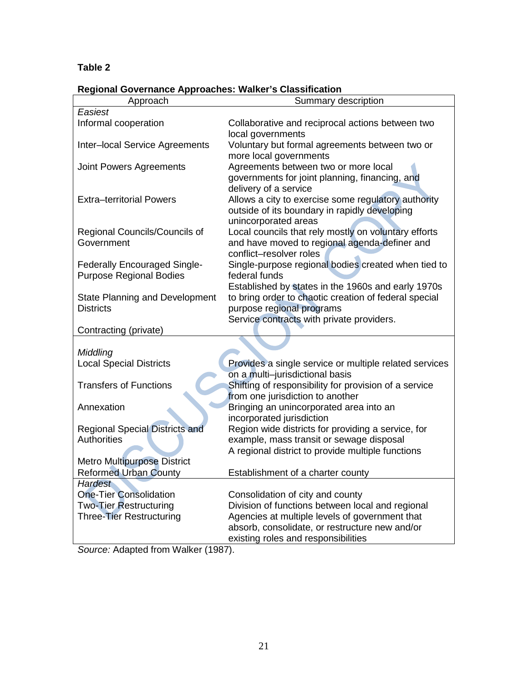## **Table 2**

| <b>Regional Governance Approaches: Walker's Classification</b> |
|----------------------------------------------------------------|
|----------------------------------------------------------------|

| Approach                                                              | Regional Ouvernance Approaches. Walker's Classincation<br>Summary description                                                    |  |  |
|-----------------------------------------------------------------------|----------------------------------------------------------------------------------------------------------------------------------|--|--|
| Easiest                                                               |                                                                                                                                  |  |  |
| Informal cooperation                                                  | Collaborative and reciprocal actions between two<br>local governments                                                            |  |  |
| Inter-local Service Agreements                                        | Voluntary but formal agreements between two or<br>more local governments                                                         |  |  |
| Joint Powers Agreements                                               | Agreements between two or more local<br>governments for joint planning, financing, and<br>delivery of a service                  |  |  |
| <b>Extra-territorial Powers</b>                                       | Allows a city to exercise some regulatory authority<br>outside of its boundary in rapidly developing<br>unincorporated areas     |  |  |
| Regional Councils/Councils of<br>Government                           | Local councils that rely mostly on voluntary efforts<br>and have moved to regional agenda-definer and<br>conflict-resolver roles |  |  |
| <b>Federally Encouraged Single-</b><br><b>Purpose Regional Bodies</b> | Single-purpose regional bodies created when tied to<br>federal funds<br>Established by states in the 1960s and early 1970s       |  |  |
| <b>State Planning and Development</b><br><b>Districts</b>             | to bring order to chaotic creation of federal special<br>purpose regional programs<br>Service contracts with private providers.  |  |  |
| Contracting (private)                                                 |                                                                                                                                  |  |  |
| Middling                                                              |                                                                                                                                  |  |  |
| <b>Local Special Districts</b>                                        | Provides a single service or multiple related services                                                                           |  |  |
| <b>Transfers of Functions</b>                                         | on a multi-jurisdictional basis<br>Shifting of responsibility for provision of a service<br>from one jurisdiction to another     |  |  |
| Annexation                                                            | Bringing an unincorporated area into an<br>incorporated jurisdiction                                                             |  |  |
| <b>Regional Special Districts and</b><br><b>Authorities</b>           | Region wide districts for providing a service, for<br>example, mass transit or sewage disposal                                   |  |  |
| <b>Metro Multipurpose District</b>                                    | A regional district to provide multiple functions                                                                                |  |  |
| <b>Reformed Urban County</b>                                          | Establishment of a charter county                                                                                                |  |  |
| <b>Hardest</b><br><b>One-Tier Consolidation</b>                       | Consolidation of city and county                                                                                                 |  |  |
| <b>Two-Tier Restructuring</b>                                         | Division of functions between local and regional                                                                                 |  |  |
| Three-Tier Restructuring                                              | Agencies at multiple levels of government that                                                                                   |  |  |
|                                                                       | absorb, consolidate, or restructure new and/or                                                                                   |  |  |
|                                                                       | existing roles and responsibilities                                                                                              |  |  |

*Source:* Adapted from Walker (1987).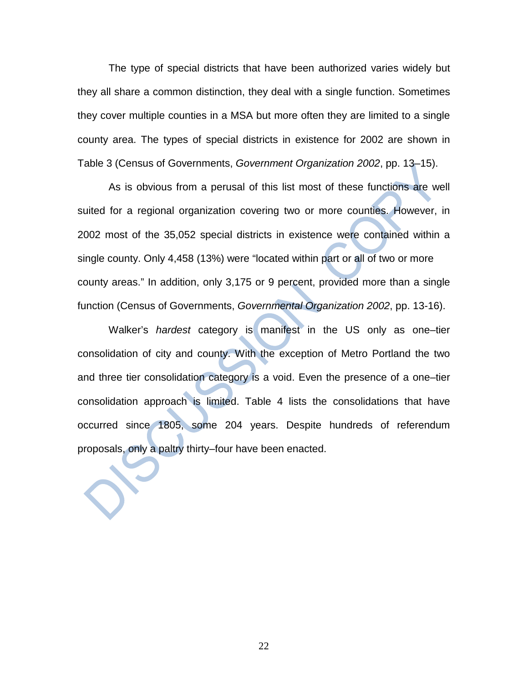The type of special districts that have been authorized varies widely but they all share a common distinction, they deal with a single function. Sometimes they cover multiple counties in a MSA but more often they are limited to a single county area. The types of special districts in existence for 2002 are shown in Table 3 (Census of Governments, *Government Organization 2002*, pp. 13–15).

As is obvious from a perusal of this list most of these functions are well suited for a regional organization covering two or more counties. However, in 2002 most of the 35,052 special districts in existence were contained within a single county. Only 4,458 (13%) were "located within part or all of two or more county areas." In addition, only 3,175 or 9 percent, provided more than a single function (Census of Governments, *Governmental Organization 2002*, pp. 13-16).

Walker's *hardest* category is manifest in the US only as one–tier consolidation of city and county. With the exception of Metro Portland the two and three tier consolidation category is a void. Even the presence of a one–tier consolidation approach is limited. Table 4 lists the consolidations that have occurred since 1805, some 204 years. Despite hundreds of referendum proposals, only a paltry thirty–four have been enacted.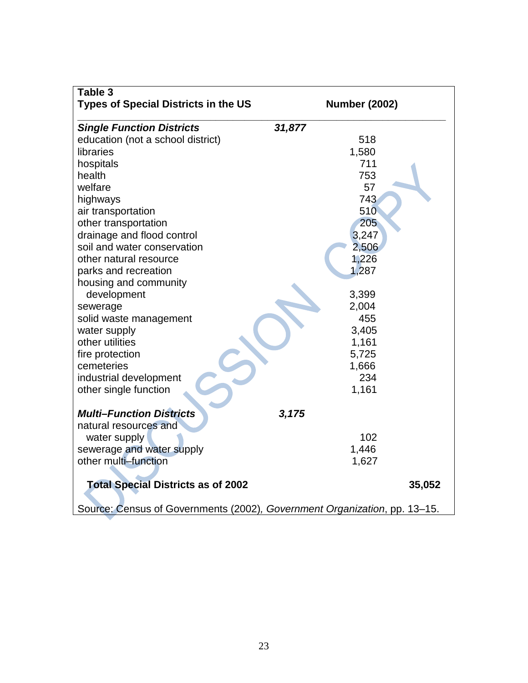| Table 3                                                                   |                      |
|---------------------------------------------------------------------------|----------------------|
| <b>Types of Special Districts in the US</b>                               | <b>Number (2002)</b> |
| <b>Single Function Districts</b>                                          | 31,877               |
| education (not a school district)                                         | 518                  |
| libraries                                                                 | 1,580                |
| hospitals                                                                 | 711                  |
| health                                                                    | 753                  |
| welfare                                                                   | 57                   |
| highways                                                                  | 743                  |
| air transportation                                                        | 510                  |
| other transportation                                                      | 205                  |
| drainage and flood control                                                | 3,247                |
| soil and water conservation                                               | 2,506                |
| other natural resource                                                    | 1,226                |
| parks and recreation                                                      | 1,287                |
| housing and community                                                     |                      |
| development                                                               | 3,399                |
| sewerage                                                                  | 2,004                |
| solid waste management                                                    | 455                  |
| water supply                                                              | 3,405                |
| other utilities                                                           | 1,161                |
| fire protection                                                           | 5,725                |
| cemeteries                                                                | 1,666                |
| industrial development                                                    | 234                  |
| other single function                                                     | 1,161                |
| <b>Multi-Function Districts</b>                                           | 3,175                |
| natural resources and                                                     |                      |
| water supply                                                              | 102                  |
| sewerage and water supply                                                 | 1,446                |
| other multi-function                                                      | 1,627                |
| <b>Total Special Districts as of 2002</b>                                 | 35,052               |
|                                                                           |                      |
| Source: Census of Governments (2002), Government Organization, pp. 13-15. |                      |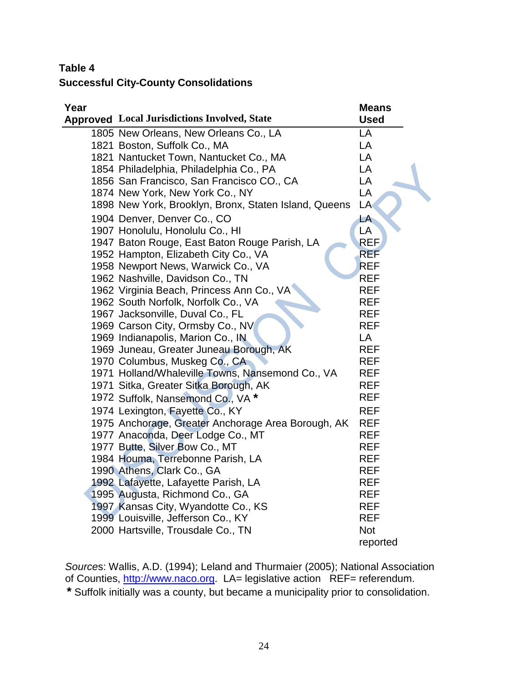## **Table 4**

## **Successful City-County Consolidations**

| Year |                                                       | <b>Means</b> |
|------|-------------------------------------------------------|--------------|
|      | <b>Approved</b> Local Jurisdictions Involved, State   | <b>Used</b>  |
|      | 1805 New Orleans, New Orleans Co., LA                 | LA           |
|      | 1821 Boston, Suffolk Co., MA                          | LA           |
|      | 1821 Nantucket Town, Nantucket Co., MA                | LA           |
|      | 1854 Philadelphia, Philadelphia Co., PA               | LA           |
|      | 1856 San Francisco, San Francisco CO., CA             | LA           |
|      | 1874 New York, New York Co., NY                       | LA           |
|      | 1898 New York, Brooklyn, Bronx, Staten Island, Queens | LA           |
|      | 1904 Denver, Denver Co., CO                           | LA           |
|      | 1907 Honolulu, Honolulu Co., HI                       | LA           |
|      | 1947 Baton Rouge, East Baton Rouge Parish, LA         | <b>REF</b>   |
|      | 1952 Hampton, Elizabeth City Co., VA                  | <b>REF</b>   |
|      | 1958 Newport News, Warwick Co., VA                    | <b>REF</b>   |
|      | 1962 Nashville, Davidson Co., TN                      | <b>REF</b>   |
|      | 1962 Virginia Beach, Princess Ann Co., VA             | <b>REF</b>   |
|      | 1962 South Norfolk, Norfolk Co., VA                   | <b>REF</b>   |
|      | 1967 Jacksonville, Duval Co., FL                      | <b>REF</b>   |
|      | 1969 Carson City, Ormsby Co., NV                      | <b>REF</b>   |
|      | 1969 Indianapolis, Marion Co., IN                     | LA           |
|      | 1969 Juneau, Greater Juneau Borough, AK               | <b>REF</b>   |
|      | 1970 Columbus, Muskeg Co., CA                         | <b>REF</b>   |
|      | 1971 Holland/Whaleville Towns, Nansemond Co., VA      | <b>REF</b>   |
|      | 1971 Sitka, Greater Sitka Borough, AK                 | <b>REF</b>   |
|      | 1972 Suffolk, Nansemond Co., VA *                     | <b>REF</b>   |
|      | 1974 Lexington, Fayette Co., KY                       | <b>REF</b>   |
|      | 1975 Anchorage, Greater Anchorage Area Borough, AK    | <b>REF</b>   |
|      | 1977 Anaconda, Deer Lodge Co., MT                     | <b>REF</b>   |
|      | 1977 Butte, Silver Bow Co., MT                        | <b>REF</b>   |
|      | 1984 Houma, Terrebonne Parish, LA                     | <b>REF</b>   |
|      | 1990 Athens, Clark Co., GA                            | <b>REF</b>   |
|      | 1992 Lafayette, Lafayette Parish, LA                  | <b>REF</b>   |
|      | 1995 Augusta, Richmond Co., GA                        | <b>REF</b>   |
|      | 1997 Kansas City, Wyandotte Co., KS                   | <b>REF</b>   |
|      | 1999 Louisville, Jefferson Co., KY                    | <b>REF</b>   |
|      | 2000 Hartsville, Trousdale Co., TN                    | <b>Not</b>   |
|      |                                                       | reported     |

*Source*s: Wallis, A.D. (1994); Leland and Thurmaier (2005); National Association of Counties, [http://www.naco.org.](http://www.naco.org/) LA= legislative action REF= referendum.

**\*** Suffolk initially was a county, but became a municipality prior to consolidation.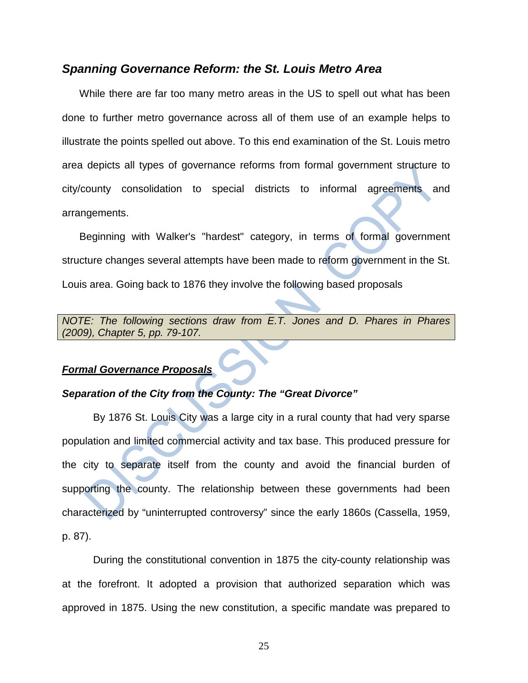## *Spanning Governance Reform: the St. Louis Metro Area*

 While there are far too many metro areas in the US to spell out what has been done to further metro governance across all of them use of an example helps to illustrate the points spelled out above. To this end examination of the St. Louis metro area depicts all types of governance reforms from formal government structure to city/county consolidation to special districts to informal agreements and arrangements.

 Beginning with Walker's "hardest" category, in terms of formal government structure changes several attempts have been made to reform government in the St. Louis area. Going back to 1876 they involve the following based proposals

*NOTE: The following sections draw from E.T. Jones and D. Phares in Phares (2009), Chapter 5, pp. 79-107.*

### *Formal Governance Proposals*

### *Separation of the City from the County: The "Great Divorce"*

By 1876 St. Louis City was a large city in a rural county that had very sparse population and limited commercial activity and tax base. This produced pressure for the city to separate itself from the county and avoid the financial burden of supporting the county. The relationship between these governments had been characterized by "uninterrupted controversy" since the early 1860s (Cassella, 1959, p. 87).

During the constitutional convention in 1875 the city-county relationship was at the forefront. It adopted a provision that authorized separation which was approved in 1875. Using the new constitution, a specific mandate was prepared to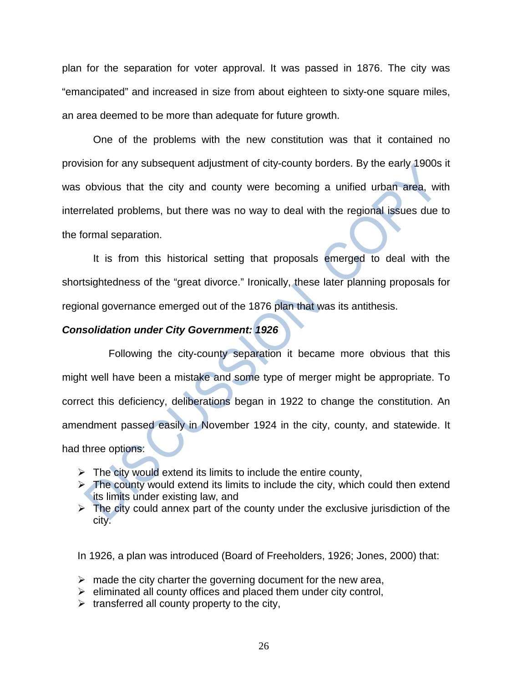plan for the separation for voter approval. It was passed in 1876. The city was "emancipated" and increased in size from about eighteen to sixty-one square miles, an area deemed to be more than adequate for future growth.

One of the problems with the new constitution was that it contained no provision for any subsequent adjustment of city-county borders. By the early 1900s it was obvious that the city and county were becoming a unified urban area, with interrelated problems, but there was no way to deal with the regional issues due to the formal separation.

It is from this historical setting that proposals emerged to deal with the shortsightedness of the "great divorce." Ironically, these later planning proposals for regional governance emerged out of the 1876 plan that was its antithesis.

## *Consolidation under City Government: 1926*

Following the city-county separation it became more obvious that this might well have been a mistake and some type of merger might be appropriate. To correct this deficiency, deliberations began in 1922 to change the constitution. An amendment passed easily in November 1924 in the city, county, and statewide. It had three options:

- $\triangleright$  The city would extend its limits to include the entire county,
- $\triangleright$  The county would extend its limits to include the city, which could then extend its limits under existing law, and
- $\triangleright$  The city could annex part of the county under the exclusive jurisdiction of the city.

In 1926, a plan was introduced (Board of Freeholders, 1926; Jones, 2000) that:

- $\triangleright$  made the city charter the governing document for the new area,
- $\triangleright$  eliminated all county offices and placed them under city control,
- $\triangleright$  transferred all county property to the city,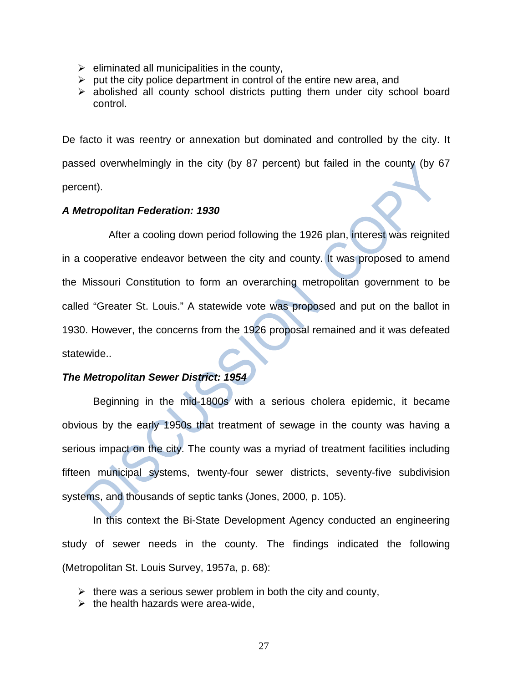- $\triangleright$  eliminated all municipalities in the county,
- $\triangleright$  put the city police department in control of the entire new area, and
- $\triangleright$  abolished all county school districts putting them under city school board control.

De facto it was reentry or annexation but dominated and controlled by the city. It passed overwhelmingly in the city (by 87 percent) but failed in the county (by 67 percent).

## *A Metropolitan Federation: 1930*

After a cooling down period following the 1926 plan, interest was reignited in a cooperative endeavor between the city and county. It was proposed to amend the Missouri Constitution to form an overarching metropolitan government to be called "Greater St. Louis." A statewide vote was proposed and put on the ballot in 1930. However, the concerns from the 1926 proposal remained and it was defeated statewide..

## *The Metropolitan Sewer District: 1954*

Beginning in the mid-1800s with a serious cholera epidemic, it became obvious by the early 1950s that treatment of sewage in the county was having a serious impact on the city. The county was a myriad of treatment facilities including fifteen municipal systems, twenty-four sewer districts, seventy-five subdivision systems, and thousands of septic tanks (Jones, 2000, p. 105).

In this context the Bi-State Development Agency conducted an engineering study of sewer needs in the county. The findings indicated the following (Metropolitan St. Louis Survey, 1957a, p. 68):

- $\triangleright$  there was a serious sewer problem in both the city and county,
- $\triangleright$  the health hazards were area-wide,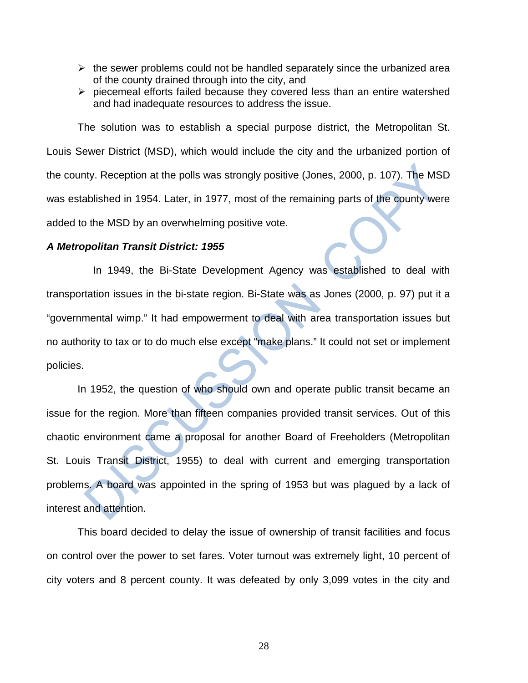- $\triangleright$  the sewer problems could not be handled separately since the urbanized area of the county drained through into the city, and
- $\triangleright$  piecemeal efforts failed because they covered less than an entire watershed and had inadequate resources to address the issue.

The solution was to establish a special purpose district, the Metropolitan St. Louis Sewer District (MSD), which would include the city and the urbanized portion of the county. Reception at the polls was strongly positive (Jones, 2000, p. 107). The MSD was established in 1954. Later, in 1977, most of the remaining parts of the county were added to the MSD by an overwhelming positive vote.

### *A Metropolitan Transit District: 1955*

In 1949, the Bi-State Development Agency was established to deal with transportation issues in the bi-state region. Bi-State was as Jones (2000, p. 97) put it a "governmental wimp." It had empowerment to deal with area transportation issues but no authority to tax or to do much else except "make plans." It could not set or implement policies.

In 1952, the question of who should own and operate public transit became an issue for the region. More than fifteen companies provided transit services. Out of this chaotic environment came a proposal for another Board of Freeholders (Metropolitan St. Louis Transit District, 1955) to deal with current and emerging transportation problems. A board was appointed in the spring of 1953 but was plagued by a lack of interest and attention.

This board decided to delay the issue of ownership of transit facilities and focus on control over the power to set fares. Voter turnout was extremely light, 10 percent of city voters and 8 percent county. It was defeated by only 3,099 votes in the city and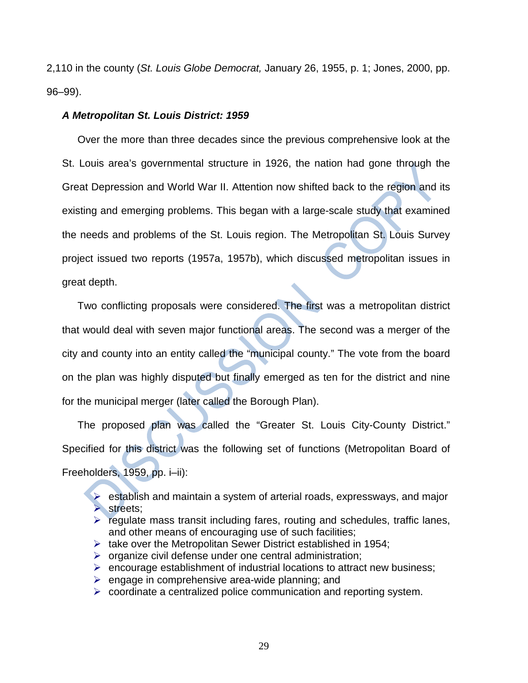2,110 in the county (*St. Louis Globe Democrat,* January 26, 1955, p. 1; Jones, 2000, pp. 96–99).

### *A Metropolitan St. Louis District: 1959*

Over the more than three decades since the previous comprehensive look at the St. Louis area's governmental structure in 1926, the nation had gone through the Great Depression and World War II. Attention now shifted back to the region and its existing and emerging problems. This began with a large-scale study that examined the needs and problems of the St. Louis region. The Metropolitan St. Louis Survey project issued two reports (1957a, 1957b), which discussed metropolitan issues in great depth.

Two conflicting proposals were considered. The first was a metropolitan district that would deal with seven major functional areas. The second was a merger of the city and county into an entity called the "municipal county." The vote from the board on the plan was highly disputed but finally emerged as ten for the district and nine for the municipal merger (later called the Borough Plan).

The proposed plan was called the "Greater St. Louis City-County District." Specified for this district was the following set of functions (Metropolitan Board of Freeholders, 1959, pp. i–ii):

 $\triangleright$  establish and maintain a system of arterial roads, expressways, and major  $\triangleright$  streets;

- $\triangleright$  regulate mass transit including fares, routing and schedules, traffic lanes, and other means of encouraging use of such facilities;
- $\triangleright$  take over the Metropolitan Sewer District established in 1954;
- $\triangleright$  organize civil defense under one central administration;
- $\triangleright$  encourage establishment of industrial locations to attract new business;
- $\triangleright$  engage in comprehensive area-wide planning; and
- $\triangleright$  coordinate a centralized police communication and reporting system.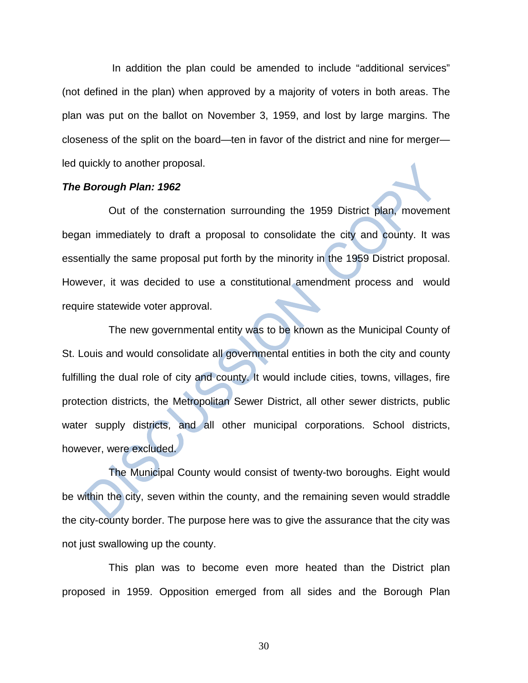In addition the plan could be amended to include "additional services" (not defined in the plan) when approved by a majority of voters in both areas. The plan was put on the ballot on November 3, 1959, and lost by large margins. The closeness of the split on the board—ten in favor of the district and nine for merger led quickly to another proposal.

#### *The Borough Plan: 1962*

Out of the consternation surrounding the 1959 District plan, movement began immediately to draft a proposal to consolidate the city and county. It was essentially the same proposal put forth by the minority in the 1959 District proposal. However, it was decided to use a constitutional amendment process and would require statewide voter approval.

The new governmental entity was to be known as the Municipal County of St. Louis and would consolidate all governmental entities in both the city and county fulfilling the dual role of city and county. It would include cities, towns, villages, fire protection districts, the Metropolitan Sewer District, all other sewer districts, public water supply districts, and all other municipal corporations. School districts, however, were excluded.

The Municipal County would consist of twenty-two boroughs. Eight would be within the city, seven within the county, and the remaining seven would straddle the city-county border. The purpose here was to give the assurance that the city was not just swallowing up the county.

This plan was to become even more heated than the District plan proposed in 1959. Opposition emerged from all sides and the Borough Plan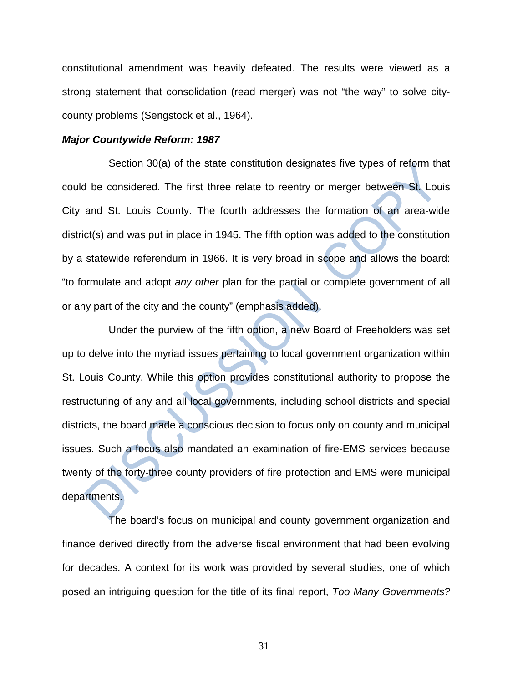constitutional amendment was heavily defeated. The results were viewed as a strong statement that consolidation (read merger) was not "the way" to solve citycounty problems (Sengstock et al., 1964).

### *Major Countywide Reform: 1987*

Section 30(a) of the state constitution designates five types of reform that could be considered. The first three relate to reentry or merger between St. Louis City and St. Louis County. The fourth addresses the formation of an area-wide district(s) and was put in place in 1945. The fifth option was added to the constitution by a statewide referendum in 1966. It is very broad in scope and allows the board: "to formulate and adopt *any other* plan for the partial or complete government of all or any part of the city and the county" (emphasis added).

Under the purview of the fifth option, a new Board of Freeholders was set up to delve into the myriad issues pertaining to local government organization within St. Louis County. While this option provides constitutional authority to propose the restructuring of any and all local governments, including school districts and special districts, the board made a conscious decision to focus only on county and municipal issues. Such a focus also mandated an examination of fire-EMS services because twenty of the forty-three county providers of fire protection and EMS were municipal departments.

The board's focus on municipal and county government organization and finance derived directly from the adverse fiscal environment that had been evolving for decades. A context for its work was provided by several studies, one of which posed an intriguing question for the title of its final report, *Too Many Governments?*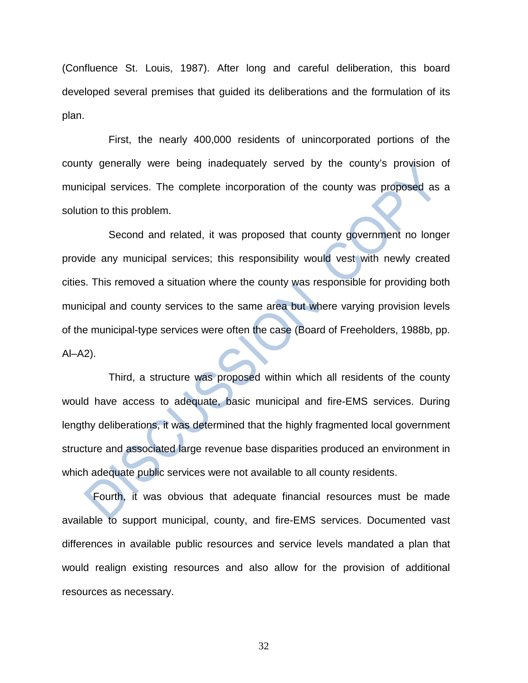(Confluence St. Louis, 1987). After long and careful deliberation, this board developed several premises that guided its deliberations and the formulation of its plan.

First, the nearly 400,000 residents of unincorporated portions of the county generally were being inadequately served by the county's provision of municipal services. The complete incorporation of the county was proposed as a solution to this problem.

Second and related, it was proposed that county government no longer provide any municipal services; this responsibility would vest with newly created cities. This removed a situation where the county was responsible for providing both municipal and county services to the same area but where varying provision levels of the municipal-type services were often the case (Board of Freeholders, 1988b, pp. Al–A2).

Third, a structure was proposed within which all residents of the county would have access to adequate, basic municipal and fire-EMS services. During lengthy deliberations, it was determined that the highly fragmented local government structure and associated large revenue base disparities produced an environment in which adequate public services were not available to all county residents.

Fourth, it was obvious that adequate financial resources must be made available to support municipal, county, and fire-EMS services. Documented vast differences in available public resources and service levels mandated a plan that would realign existing resources and also allow for the provision of additional resources as necessary.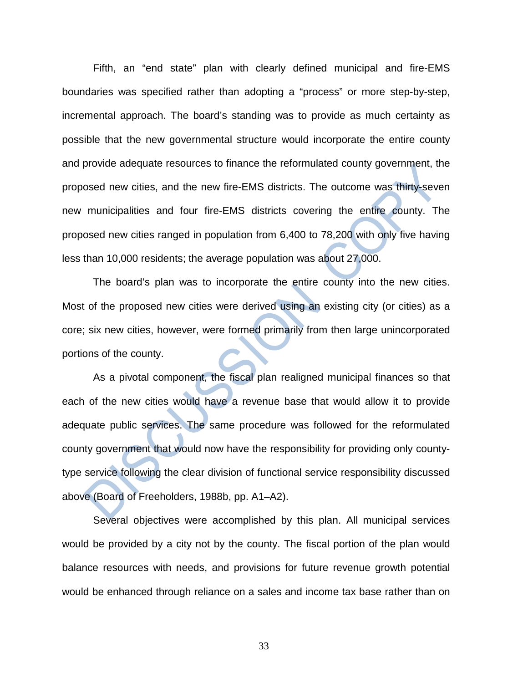Fifth, an "end state" plan with clearly defined municipal and fire-EMS boundaries was specified rather than adopting a "process" or more step-by-step, incremental approach. The board's standing was to provide as much certainty as possible that the new governmental structure would incorporate the entire county and provide adequate resources to finance the reformulated county government, the proposed new cities, and the new fire-EMS districts. The outcome was thirty-seven new municipalities and four fire-EMS districts covering the entire county. The proposed new cities ranged in population from 6,400 to 78,200 with only five having less than 10,000 residents; the average population was about 27,000.

The board's plan was to incorporate the entire county into the new cities. Most of the proposed new cities were derived using an existing city (or cities) as a core; six new cities, however, were formed primarily from then large unincorporated portions of the county.

As a pivotal component, the fiscal plan realigned municipal finances so that each of the new cities would have a revenue base that would allow it to provide adequate public services. The same procedure was followed for the reformulated county government that would now have the responsibility for providing only countytype service following the clear division of functional service responsibility discussed above (Board of Freeholders, 1988b, pp. A1–A2).

Several objectives were accomplished by this plan. All municipal services would be provided by a city not by the county. The fiscal portion of the plan would balance resources with needs, and provisions for future revenue growth potential would be enhanced through reliance on a sales and income tax base rather than on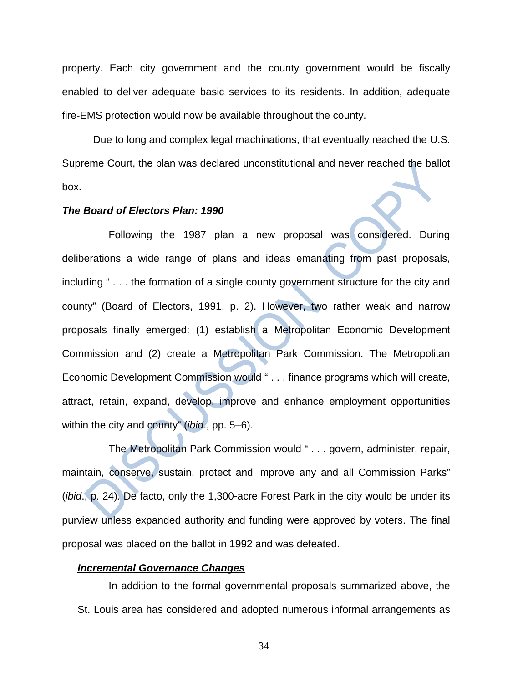property. Each city government and the county government would be fiscally enabled to deliver adequate basic services to its residents. In addition, adequate fire-EMS protection would now be available throughout the county.

Due to long and complex legal machinations, that eventually reached the U.S. Supreme Court, the plan was declared unconstitutional and never reached the ballot box.

### *The Board of Electors Plan: 1990*

Following the 1987 plan a new proposal was considered. During deliberations a wide range of plans and ideas emanating from past proposals, including " . . . the formation of a single county government structure for the city and county" (Board of Electors, 1991, p. 2). However, two rather weak and narrow proposals finally emerged: (1) establish a Metropolitan Economic Development Commission and (2) create a Metropolitan Park Commission. The Metropolitan Economic Development Commission would " . . . finance programs which will create, attract, retain, expand, develop, improve and enhance employment opportunities within the city and county" (*ibid*., pp. 5–6).

The Metropolitan Park Commission would " . . . govern, administer, repair, maintain, conserve, sustain, protect and improve any and all Commission Parks" (*ibid*., p. 24). De facto, only the 1,300-acre Forest Park in the city would be under its purview unless expanded authority and funding were approved by voters. The final proposal was placed on the ballot in 1992 and was defeated.

### *Incremental Governance Changes*

In addition to the formal governmental proposals summarized above, the St. Louis area has considered and adopted numerous informal arrangements as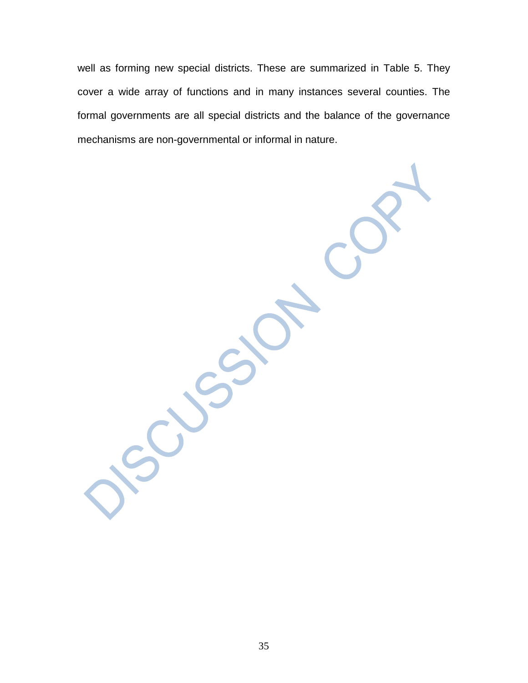well as forming new special districts. These are summarized in Table 5. They cover a wide array of functions and in many instances several counties. The formal governments are all special districts and the balance of the governance mechanisms are non-governmental or informal in nature.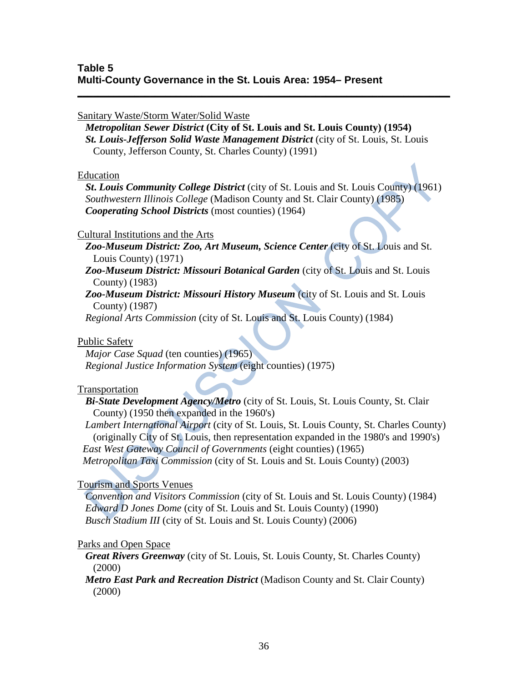## Sanitary Waste/Storm Water/Solid Waste

 *Metropolitan Sewer District* **(City of St. Louis and St. Louis County) (1954)** *St. Louis-Jefferson Solid Waste Management District* (city of St. Louis, St. Louis County, Jefferson County, St. Charles County) (1991)

**\_\_\_\_\_\_\_\_\_\_\_\_\_\_\_\_\_\_\_\_\_\_\_\_\_\_\_\_\_\_\_\_\_\_\_\_\_\_\_\_\_\_\_\_\_\_\_\_\_\_\_\_\_\_\_\_\_\_\_\_\_\_\_\_\_\_\_\_\_\_\_\_**

### Education

 *St***.** *Louis Community College District* (city of St. Louis and St. Louis County) (1961) *Southwestern Illinois College* (Madison County and St. Clair County) (1985) *Cooperating School Districts* (most counties) (1964)

## Cultural Institutions and the Arts

 *Zoo-Museum District: Zoo, Art Museum, Science Center* (city of St. Louis and St. Louis County) (1971)

 *Zoo-Museum District: Missouri Botanical Garden* (city of St. Louis and St. Louis County) (1983)

 *Zoo-Museum District: Missouri History Museum* (city of St. Louis and St. Louis County) (1987)

*Regional Arts Commission* (city of St. Louis and St. Louis County) (1984)

## Public Safety

 *Major Case Squad* (ten counties) (1965) *Regional Justice Information System* (eight counties) (1975)

## Transportation

 *Bi-State Development Agency/Metro* (city of St. Louis, St. Louis County, St. Clair County) (1950 then expanded in the 1960's)

 *Lambert International Airport* (city of St. Louis, St. Louis County, St. Charles County) (originally City of St. Louis, then representation expanded in the 1980's and 1990's) *East West Gateway Council of Governments* (eight counties) (1965)

*Metropolitan Taxi Commission* (city of St. Louis and St. Louis County) (2003)

## Tourism and Sports Venues

 *Convention and Visitors Commission* (city of St. Louis and St. Louis County) (1984) *Edward D Jones Dome* (city of St. Louis and St. Louis County) (1990) *Busch Stadium III* (city of St. Louis and St. Louis County) (2006)

## Parks and Open Space

 *Great Rivers Greenway* (city of St. Louis, St. Louis County, St. Charles County) (2000)

## *Metro East Park and Recreation District* (Madison County and St. Clair County) (2000)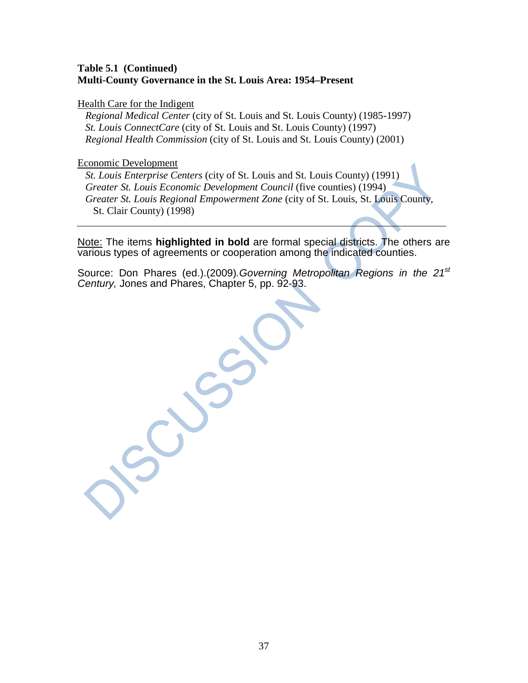## **Table 5.1 (Continued) Multi-County Governance in the St. Louis Area: 1954–Present**

Health Care for the Indigent

 *Regional Medical Center* (city of St. Louis and St. Louis County) (1985-1997) *St. Louis ConnectCare* (city of St. Louis and St. Louis County) (1997) *Regional Health Commission* (city of St. Louis and St. Louis County) (2001)

### Economic Development

 *St. Louis Enterprise Centers* (city of St. Louis and St. Louis County) (1991) *Greater St. Louis Economic Development Council* (five counties) (1994) *Greater St. Louis Regional Empowerment Zone* (city of St. Louis, St. Louis County, St. Clair County) (1998)

Note: The items **highlighted in bold** are formal special districts. The others are various types of agreements or cooperation among the indicated counties.

*\_\_\_\_\_\_\_\_\_\_\_\_\_\_\_\_\_\_\_\_\_\_\_\_\_\_\_\_\_\_\_\_\_\_\_\_\_\_\_\_\_\_\_\_\_\_\_\_\_\_\_\_\_\_\_*

Source: Don Phares (ed.).(2009)*.Governing Metropolitan Regions in the 21st Century,* Jones and Phares, Chapter 5, pp. 92-93.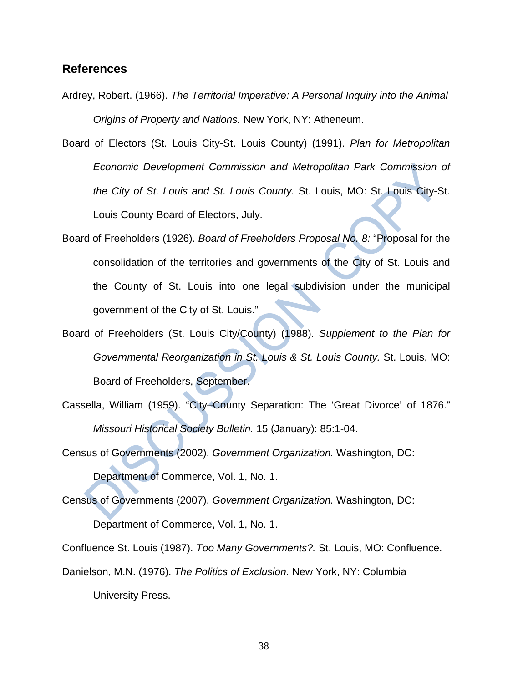## **References**

Ardrey, Robert. (1966). *The Territorial Imperative: A Personal Inquiry into the Animal Origins of Property and Nations.* New York, NY: Atheneum.

Board of Electors (St. Louis City-St. Louis County) (1991). *Plan for Metropolitan Economic Development Commission and Metropolitan Park Commission of the City of St. Louis and St. Louis County.* St. Louis, MO: St. Louis City-St. Louis County Board of Electors, July.

- Board of Freeholders (1926). *Board of Freeholders Proposal No. 8:* "Proposal for the consolidation of the territories and governments of the City of St. Louis and the County of St. Louis into one legal subdivision under the municipal government of the City of St. Louis."
- Board of Freeholders (St. Louis City/County) (1988). *Supplement to the Plan for Governmental Reorganization in St. Louis & St. Louis County.* St. Louis, MO: Board of Freeholders, September.
- Cassella, William (1959). "City–County Separation: The 'Great Divorce' of 1876." *Missouri Historical Society Bulletin.* 15 (January): 85:1-04.

Census of Governments (2002). *Government Organization.* Washington, DC: Department of Commerce, Vol. 1, No. 1.

Census of Governments (2007). *Government Organization.* Washington, DC: Department of Commerce, Vol. 1, No. 1.

Confluence St. Louis (1987). *Too Many Governments?.* St. Louis, MO: Confluence.

Danielson, M.N. (1976). *The Politics of Exclusion.* New York, NY: Columbia

University Press.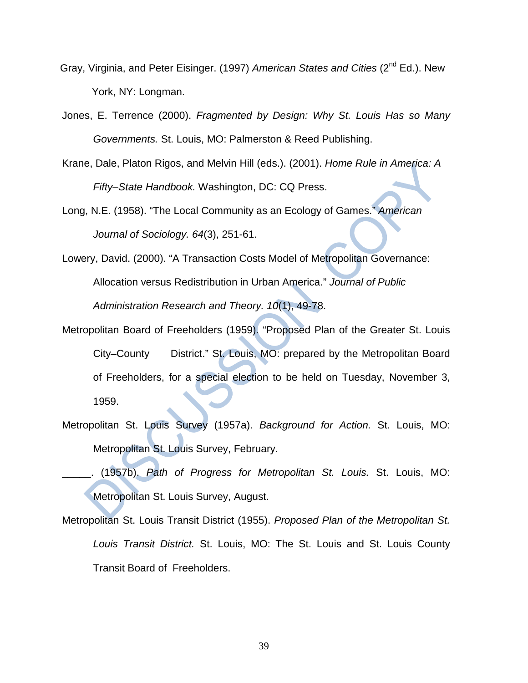- Gray, Virginia, and Peter Eisinger. (1997) *American States and Cities* (2nd Ed.). New York, NY: Longman.
- Jones, E. Terrence (2000). *Fragmented by Design: Why St. Louis Has so Many Governments.* St. Louis, MO: Palmerston & Reed Publishing.
- Krane, Dale, Platon Rigos, and Melvin Hill (eds.). (2001). *Home Rule in America: A Fifty–State Handbook.* Washington, DC: CQ Press.
- Long, N.E. (1958). "The Local Community as an Ecology of Games." *American Journal of Sociology. 64*(3), 251-61.
- Lowery, David. (2000). "A Transaction Costs Model of Metropolitan Governance: Allocation versus Redistribution in Urban America." *Journal of Public Administration Research and Theory. 10*(1), 49-78.
- Metropolitan Board of Freeholders (1959). "Proposed Plan of the Greater St. Louis City–County District." St. Louis, MO: prepared by the Metropolitan Board of Freeholders, for a special election to be held on Tuesday, November 3, 1959.
- Metropolitan St. Louis Survey (1957a). *Background for Action.* St. Louis, MO: Metropolitan St. Louis Survey, February.
- \_\_\_\_\_. (1957b). *Path of Progress for Metropolitan St. Louis.* St. Louis, MO: Metropolitan St. Louis Survey, August.
- Metropolitan St. Louis Transit District (1955). *Proposed Plan of the Metropolitan St. Louis Transit District.* St. Louis, MO: The St. Louis and St. Louis County Transit Board of Freeholders.